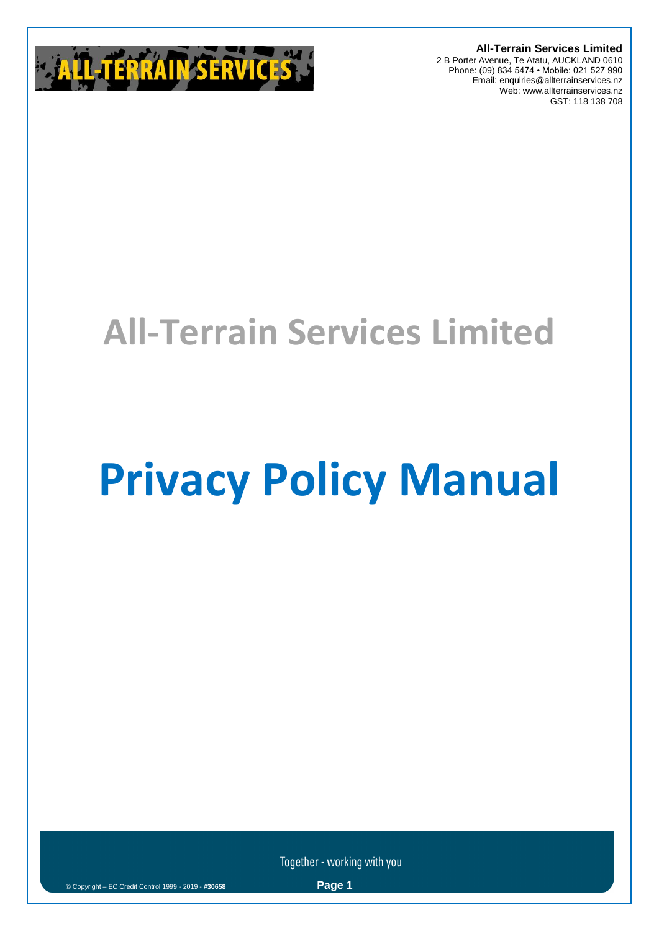

**All-Terrain Services Limited** 2 B Porter Avenue, Te Atatu, AUCKLAND 0610 Phone: (09) 834 5474 • Mobile: 021 527 990 Email: enquiries@allterrainservices.nz Web: www.allterrainservices.nz GST: 118 138 708

## **All-Terrain Services Limited**

# **Privacy Policy Manual**

Together - working with you

© Copyright – EC Credit Control 1999 - <sup>2019</sup> - **#30658 Page 1**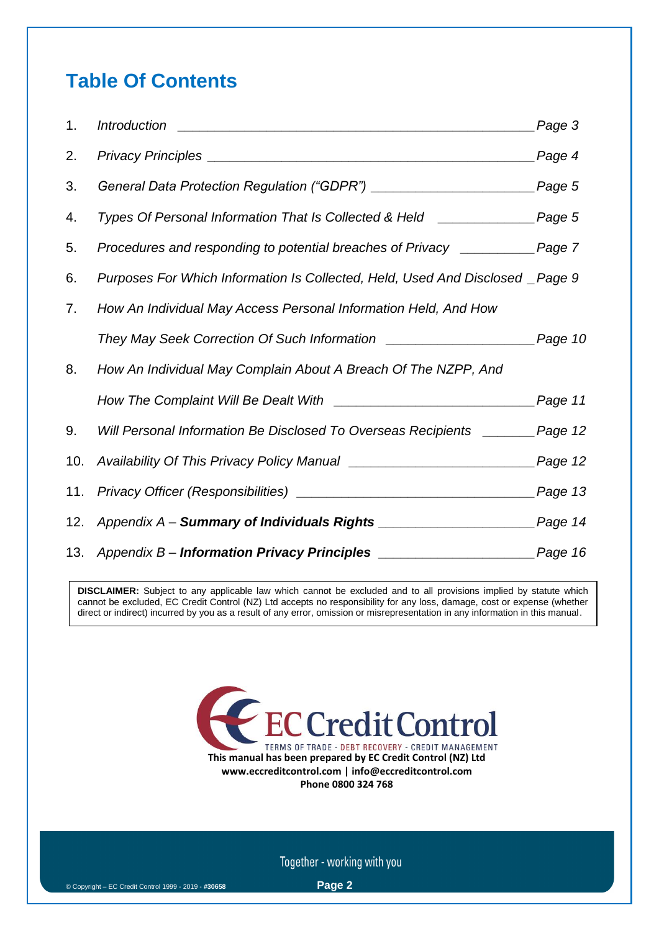## **Table Of Contents**

| 1.  | <b>Introduction</b><br><u> 1989 - Jan Barnett, fransk politiker (d. 1989)</u>           | Page 3  |
|-----|-----------------------------------------------------------------------------------------|---------|
| 2.  |                                                                                         | Page 4  |
| 3.  | General Data Protection Regulation ("GDPR") ________________________________Page 5      |         |
| 4.  | Types Of Personal Information That Is Collected & Held __________________Page 5         |         |
| 5.  | Procedures and responding to potential breaches of Privacy ____________ Page 7          |         |
| 6.  | Purposes For Which Information Is Collected, Held, Used And Disclosed _Page 9           |         |
| 7.  | How An Individual May Access Personal Information Held, And How                         |         |
|     | They May Seek Correction Of Such Information ___________________________________Page 10 |         |
| 8.  | How An Individual May Complain About A Breach Of The NZPP, And                          |         |
|     |                                                                                         |         |
| 9.  | Will Personal Information Be Disclosed To Overseas Recipients _______ Page 12           |         |
| 10. |                                                                                         |         |
| 11. |                                                                                         | Page 13 |
| 12. |                                                                                         |         |
| 13. |                                                                                         | Page 16 |

**DISCLAIMER:** Subject to any applicable law which cannot be excluded and to all provisions implied by statute which cannot be excluded, EC Credit Control (NZ) Ltd accepts no responsibility for any loss, damage, cost or expense (whether direct or indirect) incurred by you as a result of any error, omission or misrepresentation in any information in this manual.

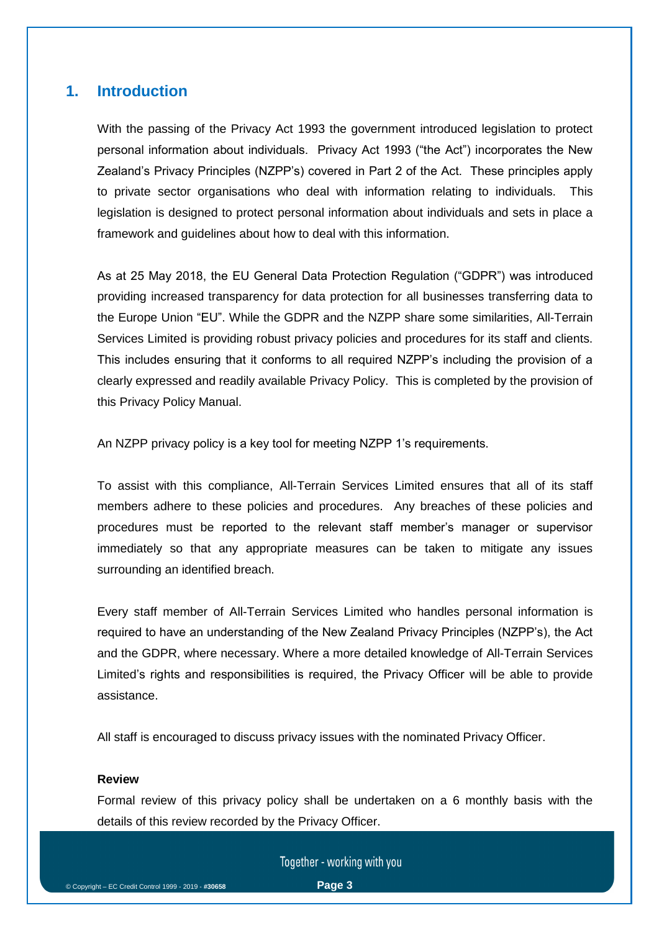#### **1. Introduction**

With the passing of the Privacy Act 1993 the government introduced legislation to protect personal information about individuals. Privacy Act 1993 ("the Act") incorporates the New Zealand's Privacy Principles (NZPP's) covered in Part 2 of the Act. These principles apply to private sector organisations who deal with information relating to individuals. This legislation is designed to protect personal information about individuals and sets in place a framework and guidelines about how to deal with this information.

As at 25 May 2018, the EU General Data Protection Regulation ("GDPR") was introduced providing increased transparency for data protection for all businesses transferring data to the Europe Union "EU". While the GDPR and the NZPP share some similarities, All-Terrain Services Limited is providing robust privacy policies and procedures for its staff and clients. This includes ensuring that it conforms to all required NZPP's including the provision of a clearly expressed and readily available Privacy Policy. This is completed by the provision of this Privacy Policy Manual.

An NZPP privacy policy is a key tool for meeting NZPP 1's requirements.

To assist with this compliance, All-Terrain Services Limited ensures that all of its staff members adhere to these policies and procedures. Any breaches of these policies and procedures must be reported to the relevant staff member's manager or supervisor immediately so that any appropriate measures can be taken to mitigate any issues surrounding an identified breach.

Every staff member of All-Terrain Services Limited who handles personal information is required to have an understanding of the New Zealand Privacy Principles (NZPP's), the Act and the GDPR, where necessary. Where a more detailed knowledge of All-Terrain Services Limited's rights and responsibilities is required, the Privacy Officer will be able to provide assistance.

All staff is encouraged to discuss privacy issues with the nominated Privacy Officer.

#### **Review**

Formal review of this privacy policy shall be undertaken on a 6 monthly basis with the details of this review recorded by the Privacy Officer.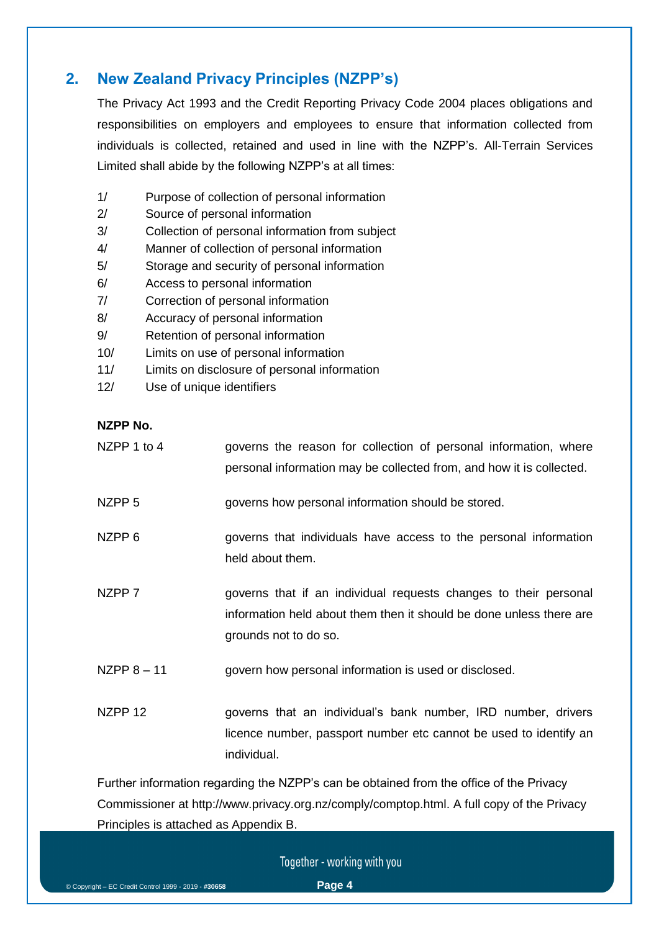### **2. New Zealand Privacy Principles (NZPP's)**

The Privacy Act 1993 and the Credit Reporting Privacy Code 2004 places obligations and responsibilities on employers and employees to ensure that information collected from individuals is collected, retained and used in line with the NZPP's. All-Terrain Services Limited shall abide by the following NZPP's at all times:

- 1/ Purpose of collection of personal information
- 2/ Source of personal information
- 3/ Collection of personal information from subject
- 4/ Manner of collection of personal information
- 5/ Storage and security of personal information
- 6/ Access to personal information
- 7/ Correction of personal information
- 8/ Accuracy of personal information
- 9/ Retention of personal information
- 10/ Limits on use of personal information
- 11/ Limits on disclosure of personal information
- 12/ Use of unique identifiers

#### **NZPP No.**

| NZPP 1 to 4       | governs the reason for collection of personal information, where<br>personal information may be collected from, and how it is collected. |
|-------------------|------------------------------------------------------------------------------------------------------------------------------------------|
|                   |                                                                                                                                          |
| NZPP <sub>5</sub> | governs how personal information should be stored.                                                                                       |
| NZPP <sub>6</sub> | governs that individuals have access to the personal information<br>held about them.                                                     |

- NZPP 7 governs that if an individual requests changes to their personal information held about them then it should be done unless there are grounds not to do so.
- NZPP 8 11 govern how personal information is used or disclosed.
- NZPP 12 **governs that an individual's bank number, IRD number, drivers** licence number, passport number etc cannot be used to identify an individual.

Further information regarding the NZPP's can be obtained from the office of the Privacy Commissioner at [http://www.privacy.org.nz/comply/comptop.html.](http://www.privacy.org.nz/comply/comptop.html) A full copy of the Privacy Principles is attached as Appendix B.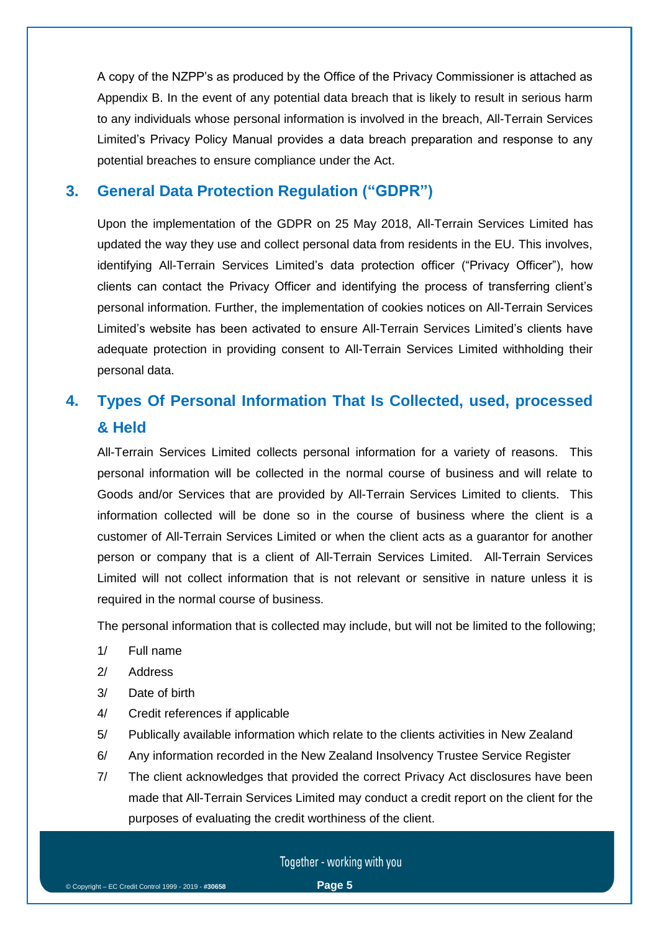A copy of the NZPP's as produced by the Office of the Privacy Commissioner is attached as Appendix B. In the event of any potential data breach that is likely to result in serious harm to any individuals whose personal information is involved in the breach, All-Terrain Services Limited's Privacy Policy Manual provides a data breach preparation and response to any potential breaches to ensure compliance under the Act.

#### **3. General Data Protection Regulation ("GDPR")**

Upon the implementation of the GDPR on 25 May 2018, All-Terrain Services Limited has updated the way they use and collect personal data from residents in the EU. This involves, identifying All-Terrain Services Limited's data protection officer ("Privacy Officer"), how clients can contact the Privacy Officer and identifying the process of transferring client's personal information. Further, the implementation of cookies notices on All-Terrain Services Limited's website has been activated to ensure All-Terrain Services Limited's clients have adequate protection in providing consent to All-Terrain Services Limited withholding their personal data.

## **4. Types Of Personal Information That Is Collected, used, processed & Held**

All-Terrain Services Limited collects personal information for a variety of reasons. This personal information will be collected in the normal course of business and will relate to Goods and/or Services that are provided by All-Terrain Services Limited to clients. This information collected will be done so in the course of business where the client is a customer of All-Terrain Services Limited or when the client acts as a guarantor for another person or company that is a client of All-Terrain Services Limited. All-Terrain Services Limited will not collect information that is not relevant or sensitive in nature unless it is required in the normal course of business.

The personal information that is collected may include, but will not be limited to the following;

- 1/ Full name
- 2/ Address
- 3/ Date of birth
- 4/ Credit references if applicable
- 5/ Publically available information which relate to the clients activities in New Zealand
- 6/ Any information recorded in the New Zealand Insolvency Trustee Service Register
- 7/ The client acknowledges that provided the correct Privacy Act disclosures have been made that All-Terrain Services Limited may conduct a credit report on the client for the purposes of evaluating the credit worthiness of the client.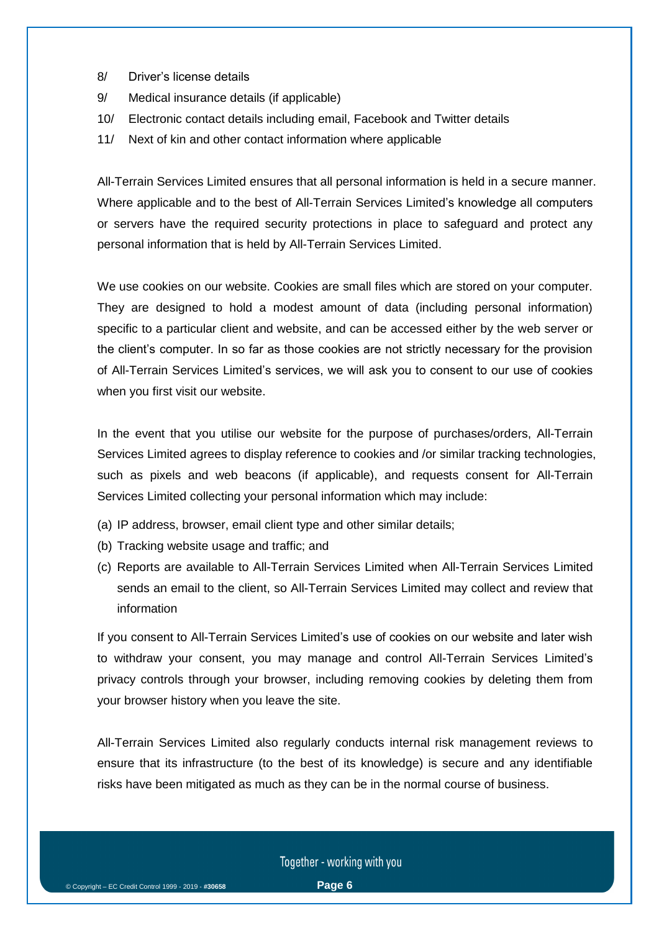- 8/ Driver's license details
- 9/ Medical insurance details (if applicable)
- 10/ Electronic contact details including email, Facebook and Twitter details
- 11/ Next of kin and other contact information where applicable

All-Terrain Services Limited ensures that all personal information is held in a secure manner. Where applicable and to the best of All-Terrain Services Limited's knowledge all computers or servers have the required security protections in place to safeguard and protect any personal information that is held by All-Terrain Services Limited.

We use cookies on our website. Cookies are small files which are stored on your computer. They are designed to hold a modest amount of data (including personal information) specific to a particular client and website, and can be accessed either by the web server or the client's computer. In so far as those cookies are not strictly necessary for the provision of All-Terrain Services Limited's services, we will ask you to consent to our use of cookies when you first visit our website.

In the event that you utilise our website for the purpose of purchases/orders, All-Terrain Services Limited agrees to display reference to cookies and /or similar tracking technologies, such as pixels and web beacons (if applicable), and requests consent for All-Terrain Services Limited collecting your personal information which may include:

- (a) IP address, browser, email client type and other similar details;
- (b) Tracking website usage and traffic; and
- (c) Reports are available to All-Terrain Services Limited when All-Terrain Services Limited sends an email to the client, so All-Terrain Services Limited may collect and review that information

If you consent to All-Terrain Services Limited's use of cookies on our website and later wish to withdraw your consent, you may manage and control All-Terrain Services Limited's privacy controls through your browser, including removing cookies by deleting them from your browser history when you leave the site.

All-Terrain Services Limited also regularly conducts internal risk management reviews to ensure that its infrastructure (to the best of its knowledge) is secure and any identifiable risks have been mitigated as much as they can be in the normal course of business.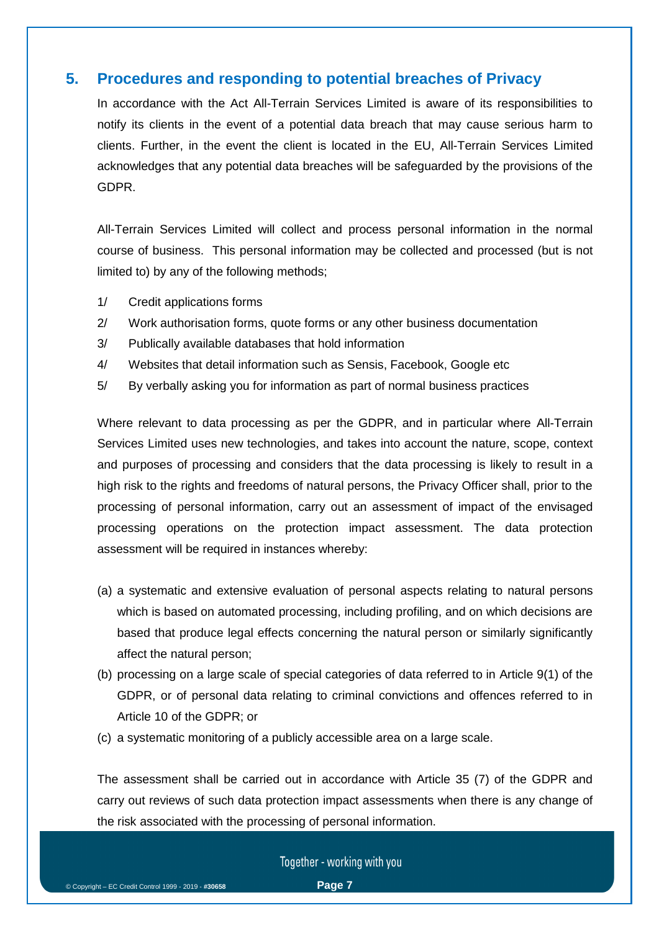#### **5. Procedures and responding to potential breaches of Privacy**

In accordance with the Act All-Terrain Services Limited is aware of its responsibilities to notify its clients in the event of a potential data breach that may cause serious harm to clients. Further, in the event the client is located in the EU, All-Terrain Services Limited acknowledges that any potential data breaches will be safeguarded by the provisions of the GDPR.

All-Terrain Services Limited will collect and process personal information in the normal course of business. This personal information may be collected and processed (but is not limited to) by any of the following methods;

- 1/ Credit applications forms
- 2/ Work authorisation forms, quote forms or any other business documentation
- 3/ Publically available databases that hold information
- 4/ Websites that detail information such as Sensis, Facebook, Google etc
- 5/ By verbally asking you for information as part of normal business practices

Where relevant to data processing as per the GDPR, and in particular where All-Terrain Services Limited uses new technologies, and takes into account the nature, scope, context and purposes of processing and considers that the data processing is likely to result in a high risk to the rights and freedoms of natural persons, the Privacy Officer shall, prior to the processing of personal information, carry out an assessment of impact of the envisaged processing operations on the protection impact assessment. The data protection assessment will be required in instances whereby:

- (a) a systematic and extensive evaluation of personal aspects relating to natural persons which is based on automated processing, including profiling, and on which decisions are based that produce legal effects concerning the natural person or similarly significantly affect the natural person;
- (b) processing on a large scale of special categories of data referred to in [Article 9\(](https://gdpr-info.eu/art-9-gdpr/)1) of the GDPR, or of personal data relating to criminal convictions and offences referred to in [Article 10](https://gdpr-info.eu/art-10-gdpr/) of the GDPR; or
- (c) a systematic monitoring of a publicly accessible area on a large scale.

The assessment shall be carried out in accordance with Article 35 (7) of the GDPR and carry out reviews of such data protection impact assessments when there is any change of the risk associated with the processing of personal information.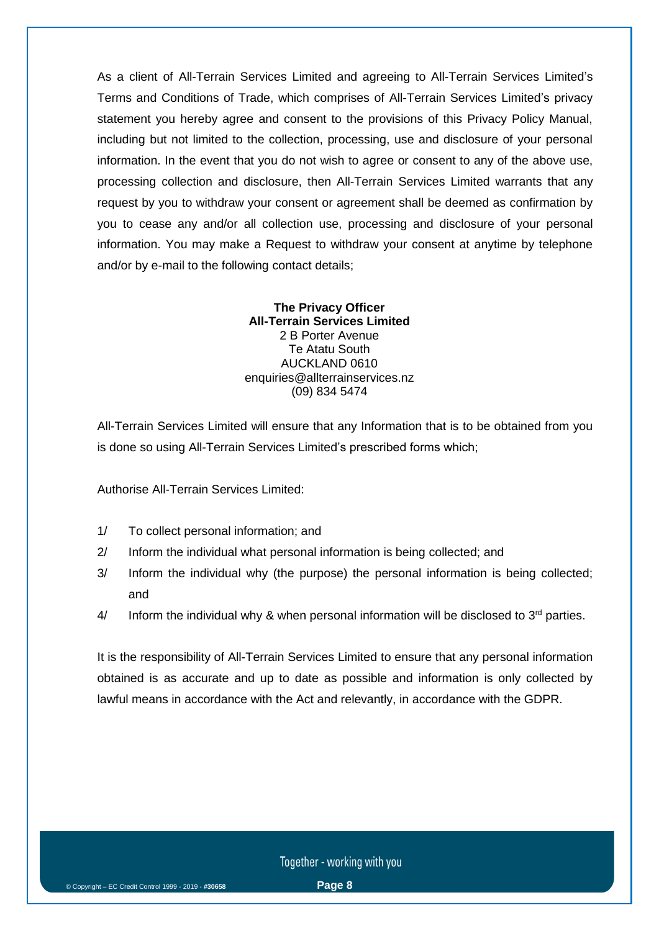As a client of All-Terrain Services Limited and agreeing to All-Terrain Services Limited's Terms and Conditions of Trade, which comprises of All-Terrain Services Limited's privacy statement you hereby agree and consent to the provisions of this Privacy Policy Manual, including but not limited to the collection, processing, use and disclosure of your personal information. In the event that you do not wish to agree or consent to any of the above use, processing collection and disclosure, then All-Terrain Services Limited warrants that any request by you to withdraw your consent or agreement shall be deemed as confirmation by you to cease any and/or all collection use, processing and disclosure of your personal information. You may make a Request to withdraw your consent at anytime by telephone and/or by e-mail to the following contact details;

#### **The Privacy Officer All-Terrain Services Limited** 2 B Porter Avenue Te Atatu South AUCKLAND 0610 enquiries@allterrainservices.nz (09) 834 5474

All-Terrain Services Limited will ensure that any Information that is to be obtained from you is done so using All-Terrain Services Limited's prescribed forms which;

Authorise All-Terrain Services Limited:

- 1/ To collect personal information; and
- 2/ Inform the individual what personal information is being collected; and
- 3/ Inform the individual why (the purpose) the personal information is being collected; and
- $4/$  Inform the individual why & when personal information will be disclosed to  $3<sup>rd</sup>$  parties.

It is the responsibility of All-Terrain Services Limited to ensure that any personal information obtained is as accurate and up to date as possible and information is only collected by lawful means in accordance with the Act and relevantly, in accordance with the GDPR.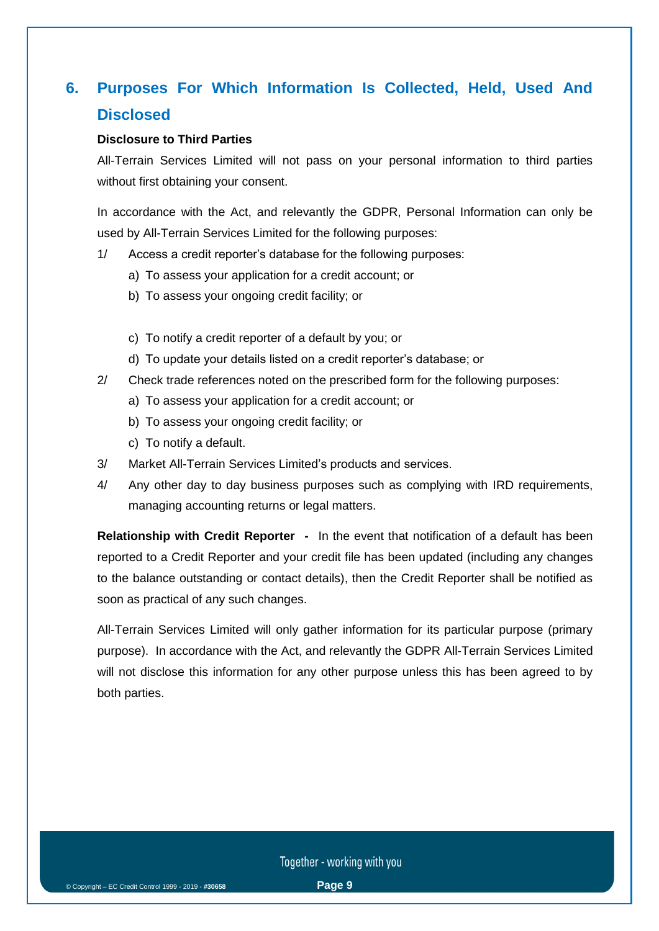## **6. Purposes For Which Information Is Collected, Held, Used And Disclosed**

#### **Disclosure to Third Parties**

All-Terrain Services Limited will not pass on your personal information to third parties without first obtaining your consent.

In accordance with the Act, and relevantly the GDPR, Personal Information can only be used by All-Terrain Services Limited for the following purposes:

- 1/ Access a credit reporter's database for the following purposes:
	- a) To assess your application for a credit account; or
	- b) To assess your ongoing credit facility; or
	- c) To notify a credit reporter of a default by you; or
	- d) To update your details listed on a credit reporter's database; or
- 2/ Check trade references noted on the prescribed form for the following purposes:
	- a) To assess your application for a credit account; or
	- b) To assess your ongoing credit facility; or
	- c) To notify a default.
- 3/ Market All-Terrain Services Limited's products and services.
- 4/ Any other day to day business purposes such as complying with IRD requirements, managing accounting returns or legal matters.

**Relationship with Credit Reporter -** In the event that notification of a default has been reported to a Credit Reporter and your credit file has been updated (including any changes to the balance outstanding or contact details), then the Credit Reporter shall be notified as soon as practical of any such changes.

All-Terrain Services Limited will only gather information for its particular purpose (primary purpose). In accordance with the Act, and relevantly the GDPR All-Terrain Services Limited will not disclose this information for any other purpose unless this has been agreed to by both parties.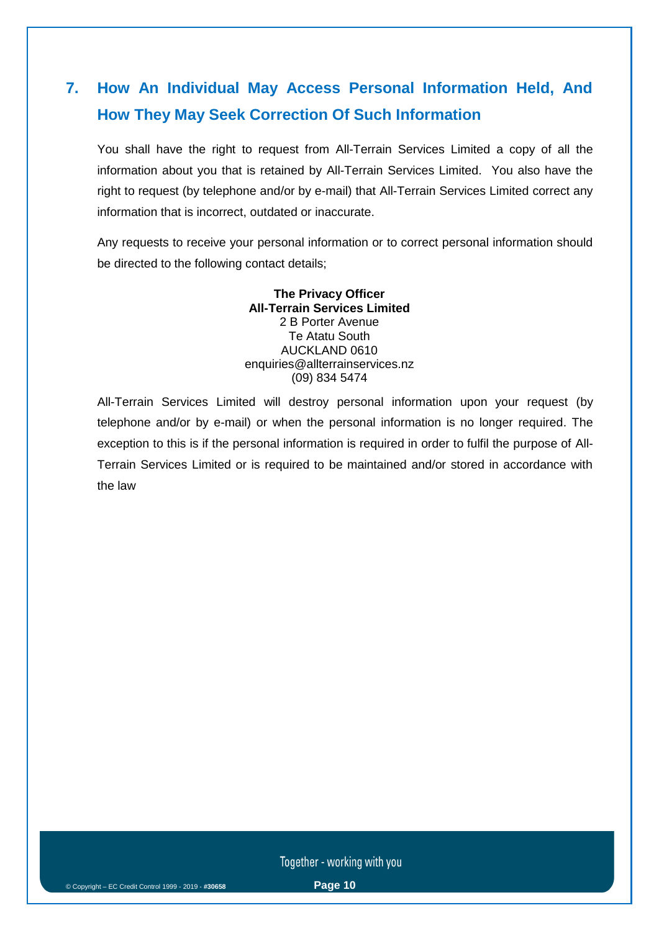## **7. How An Individual May Access Personal Information Held, And How They May Seek Correction Of Such Information**

You shall have the right to request from All-Terrain Services Limited a copy of all the information about you that is retained by All-Terrain Services Limited. You also have the right to request (by telephone and/or by e-mail) that All-Terrain Services Limited correct any information that is incorrect, outdated or inaccurate.

Any requests to receive your personal information or to correct personal information should be directed to the following contact details;

#### **The Privacy Officer All-Terrain Services Limited** 2 B Porter Avenue Te Atatu South AUCKLAND 0610 enquiries@allterrainservices.nz (09) 834 5474

All-Terrain Services Limited will destroy personal information upon your request (by telephone and/or by e-mail) or when the personal information is no longer required. The exception to this is if the personal information is required in order to fulfil the purpose of All-Terrain Services Limited or is required to be maintained and/or stored in accordance with the law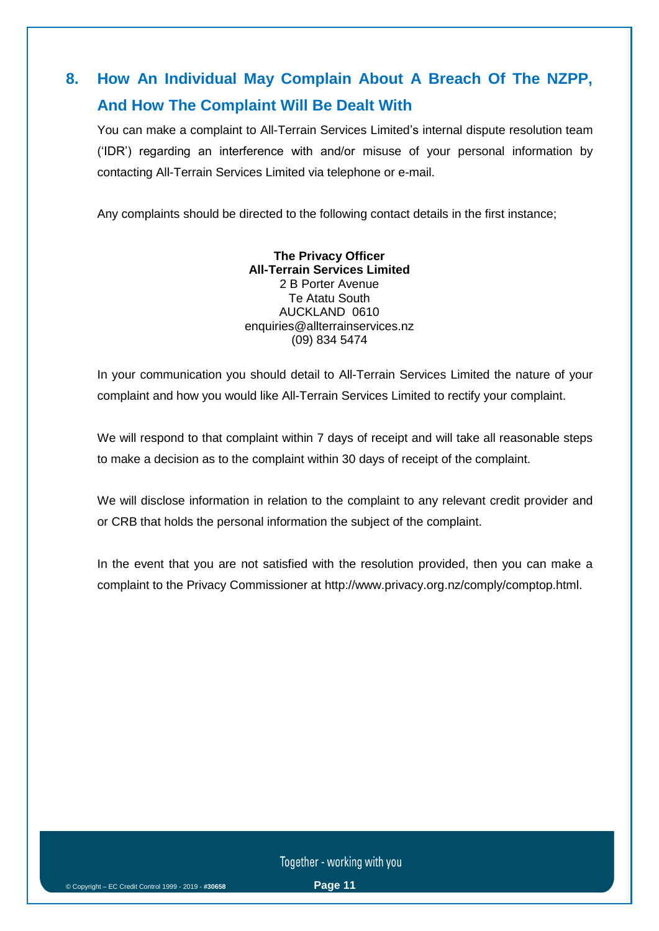## **8. How An Individual May Complain About A Breach Of The NZPP, And How The Complaint Will Be Dealt With**

You can make a complaint to All-Terrain Services Limited's internal dispute resolution team ('IDR') regarding an interference with and/or misuse of your personal information by contacting All-Terrain Services Limited via telephone or e-mail.

Any complaints should be directed to the following contact details in the first instance;

#### **The Privacy Officer All-Terrain Services Limited** 2 B Porter Avenue Te Atatu South AUCKLAND 0610 enquiries@allterrainservices.nz (09) 834 5474

In your communication you should detail to All-Terrain Services Limited the nature of your complaint and how you would like All-Terrain Services Limited to rectify your complaint.

We will respond to that complaint within 7 days of receipt and will take all reasonable steps to make a decision as to the complaint within 30 days of receipt of the complaint.

We will disclose information in relation to the complaint to any relevant credit provider and or CRB that holds the personal information the subject of the complaint.

In the event that you are not satisfied with the resolution provided, then you can make a complaint to the Privacy Commissioner at [http://www.privacy.org.nz/comply/comptop.html.](http://www.privacy.org.nz/comply/comptop.html)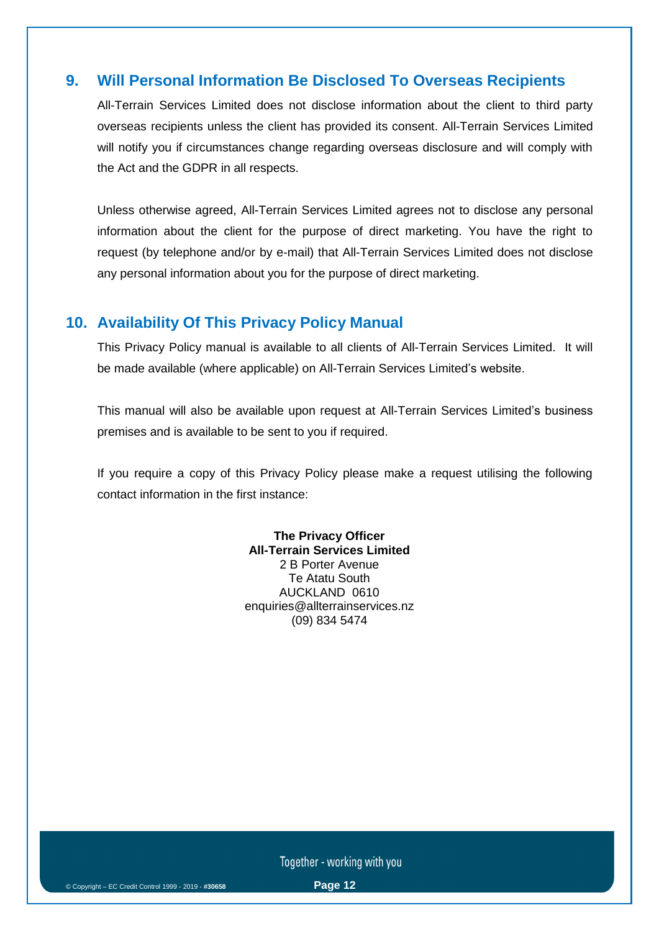#### **9. Will Personal Information Be Disclosed To Overseas Recipients**

All-Terrain Services Limited does not disclose information about the client to third party overseas recipients unless the client has provided its consent. All-Terrain Services Limited will notify you if circumstances change regarding overseas disclosure and will comply with the Act and the GDPR in all respects.

Unless otherwise agreed, All-Terrain Services Limited agrees not to disclose any personal information about the client for the purpose of direct marketing. You have the right to request (by telephone and/or by e-mail) that All-Terrain Services Limited does not disclose any personal information about you for the purpose of direct marketing.

#### **10. Availability Of This Privacy Policy Manual**

This Privacy Policy manual is available to all clients of All-Terrain Services Limited. It will be made available (where applicable) on All-Terrain Services Limited's website.

This manual will also be available upon request at All-Terrain Services Limited's business premises and is available to be sent to you if required.

If you require a copy of this Privacy Policy please make a request utilising the following contact information in the first instance:

> **The Privacy Officer All-Terrain Services Limited** 2 B Porter Avenue Te Atatu South AUCKLAND 0610 enquiries@allterrainservices.nz (09) 834 5474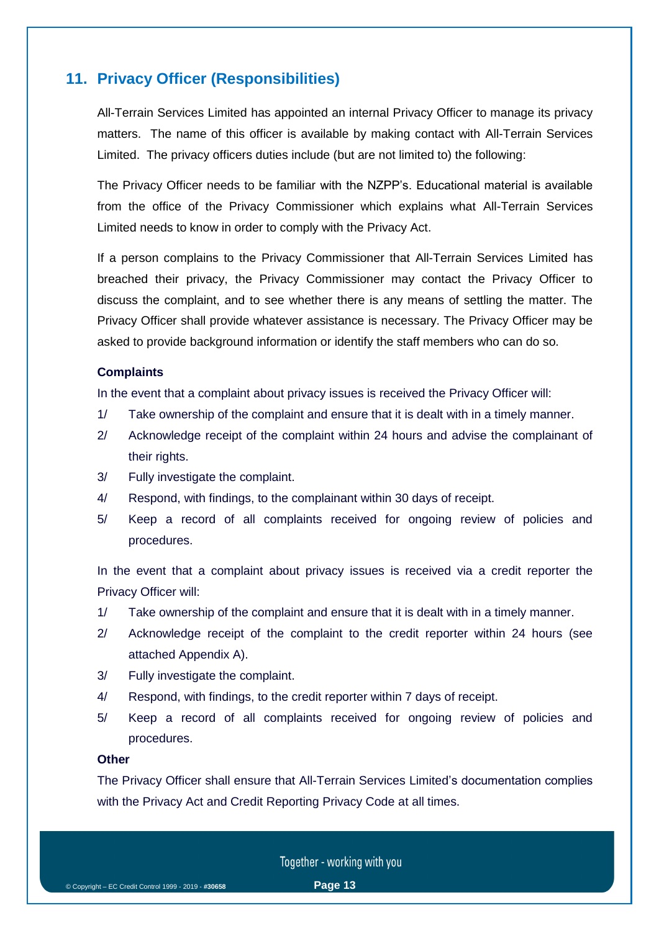#### **11. Privacy Officer (Responsibilities)**

All-Terrain Services Limited has appointed an internal Privacy Officer to manage its privacy matters. The name of this officer is available by making contact with All-Terrain Services Limited. The privacy officers duties include (but are not limited to) the following:

The Privacy Officer needs to be familiar with the NZPP's. Educational material is available from the office of the Privacy Commissioner which explains what All-Terrain Services Limited needs to know in order to comply with the Privacy Act.

If a person complains to the Privacy Commissioner that All-Terrain Services Limited has breached their privacy, the Privacy Commissioner may contact the Privacy Officer to discuss the complaint, and to see whether there is any means of settling the matter. The Privacy Officer shall provide whatever assistance is necessary. The Privacy Officer may be asked to provide background information or identify the staff members who can do so.

#### **Complaints**

In the event that a complaint about privacy issues is received the Privacy Officer will:

- 1/ Take ownership of the complaint and ensure that it is dealt with in a timely manner.
- 2/ Acknowledge receipt of the complaint within 24 hours and advise the complainant of their rights.
- 3/ Fully investigate the complaint.
- 4/ Respond, with findings, to the complainant within 30 days of receipt.
- 5/ Keep a record of all complaints received for ongoing review of policies and procedures.

In the event that a complaint about privacy issues is received via a credit reporter the Privacy Officer will:

- 1/ Take ownership of the complaint and ensure that it is dealt with in a timely manner.
- 2/ Acknowledge receipt of the complaint to the credit reporter within 24 hours (see attached Appendix A).
- 3/ Fully investigate the complaint.
- 4/ Respond, with findings, to the credit reporter within 7 days of receipt.
- 5/ Keep a record of all complaints received for ongoing review of policies and procedures.

#### **Other**

The Privacy Officer shall ensure that All-Terrain Services Limited's documentation complies with the Privacy Act and Credit Reporting Privacy Code at all times.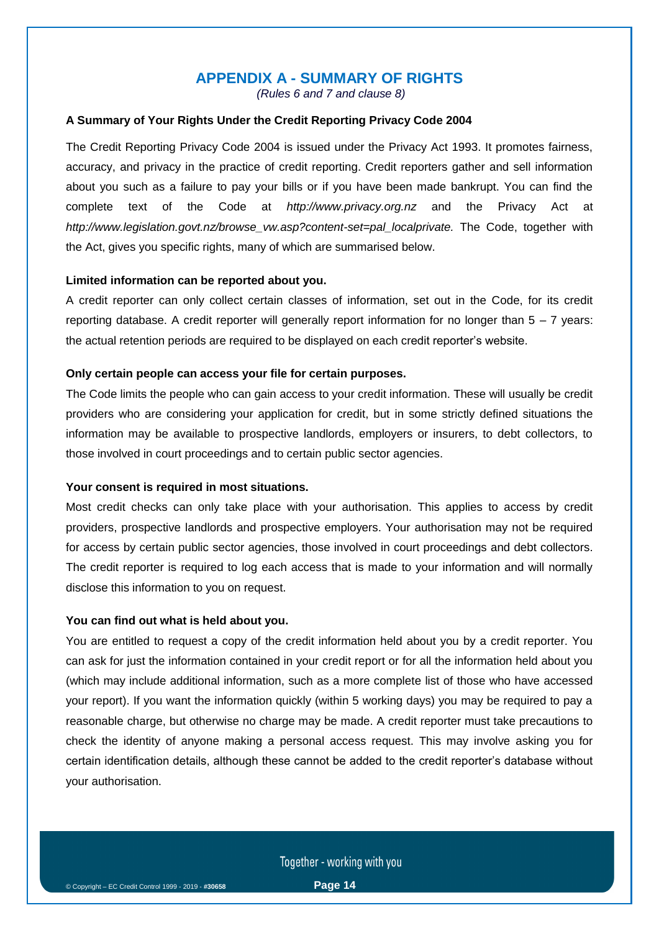#### **APPENDIX A - SUMMARY OF RIGHTS**

*(Rules 6 and 7 and clause 8)*

#### **A Summary of Your Rights Under the Credit Reporting Privacy Code 2004**

The Credit Reporting Privacy Code 2004 is issued under the Privacy Act 1993. It promotes fairness, accuracy, and privacy in the practice of credit reporting. Credit reporters gather and sell information about you such as a failure to pay your bills or if you have been made bankrupt. You can find the complete text of the Code at *http://www.privacy.org.nz* and the Privacy Act at *http://www.legislation.govt.nz/browse\_vw.asp?content-set=pal\_localprivate.* The Code, together with the Act, gives you specific rights, many of which are summarised below.

#### **Limited information can be reported about you.**

A credit reporter can only collect certain classes of information, set out in the Code, for its credit reporting database. A credit reporter will generally report information for no longer than  $5 - 7$  years: the actual retention periods are required to be displayed on each credit reporter's website.

#### **Only certain people can access your file for certain purposes.**

The Code limits the people who can gain access to your credit information. These will usually be credit providers who are considering your application for credit, but in some strictly defined situations the information may be available to prospective landlords, employers or insurers, to debt collectors, to those involved in court proceedings and to certain public sector agencies.

#### **Your consent is required in most situations.**

Most credit checks can only take place with your authorisation. This applies to access by credit providers, prospective landlords and prospective employers. Your authorisation may not be required for access by certain public sector agencies, those involved in court proceedings and debt collectors. The credit reporter is required to log each access that is made to your information and will normally disclose this information to you on request.

#### **You can find out what is held about you.**

You are entitled to request a copy of the credit information held about you by a credit reporter. You can ask for just the information contained in your credit report or for all the information held about you (which may include additional information, such as a more complete list of those who have accessed your report). If you want the information quickly (within 5 working days) you may be required to pay a reasonable charge, but otherwise no charge may be made. A credit reporter must take precautions to check the identity of anyone making a personal access request. This may involve asking you for certain identification details, although these cannot be added to the credit reporter's database without your authorisation.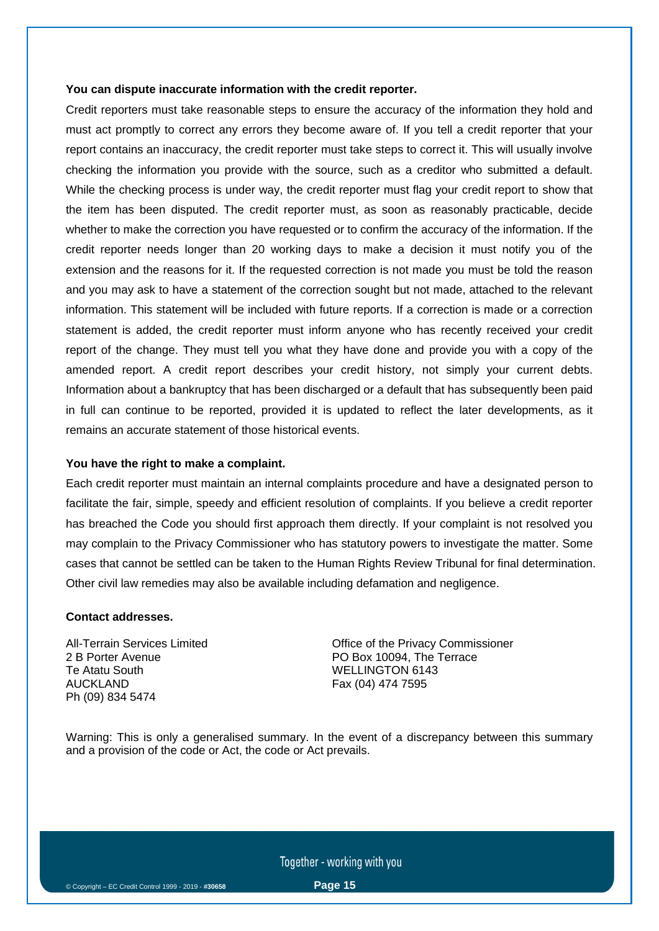#### **You can dispute inaccurate information with the credit reporter.**

Credit reporters must take reasonable steps to ensure the accuracy of the information they hold and must act promptly to correct any errors they become aware of. If you tell a credit reporter that your report contains an inaccuracy, the credit reporter must take steps to correct it. This will usually involve checking the information you provide with the source, such as a creditor who submitted a default. While the checking process is under way, the credit reporter must flag your credit report to show that the item has been disputed. The credit reporter must, as soon as reasonably practicable, decide whether to make the correction you have requested or to confirm the accuracy of the information. If the credit reporter needs longer than 20 working days to make a decision it must notify you of the extension and the reasons for it. If the requested correction is not made you must be told the reason and you may ask to have a statement of the correction sought but not made, attached to the relevant information. This statement will be included with future reports. If a correction is made or a correction statement is added, the credit reporter must inform anyone who has recently received your credit report of the change. They must tell you what they have done and provide you with a copy of the amended report. A credit report describes your credit history, not simply your current debts. Information about a bankruptcy that has been discharged or a default that has subsequently been paid in full can continue to be reported, provided it is updated to reflect the later developments, as it remains an accurate statement of those historical events.

#### **You have the right to make a complaint.**

Each credit reporter must maintain an internal complaints procedure and have a designated person to facilitate the fair, simple, speedy and efficient resolution of complaints. If you believe a credit reporter has breached the Code you should first approach them directly. If your complaint is not resolved you may complain to the Privacy Commissioner who has statutory powers to investigate the matter. Some cases that cannot be settled can be taken to the Human Rights Review Tribunal for final determination. Other civil law remedies may also be available including defamation and negligence.

#### **Contact addresses.**

All-Terrain Services Limited 2 B Porter Avenue Te Atatu South AUCKLAND Ph (09) 834 5474

Office of the Privacy Commissioner PO Box 10094, The Terrace WELLINGTON 6143 Fax (04) 474 7595

Warning: This is only a generalised summary. In the event of a discrepancy between this summary and a provision of the code or Act, the code or Act prevails.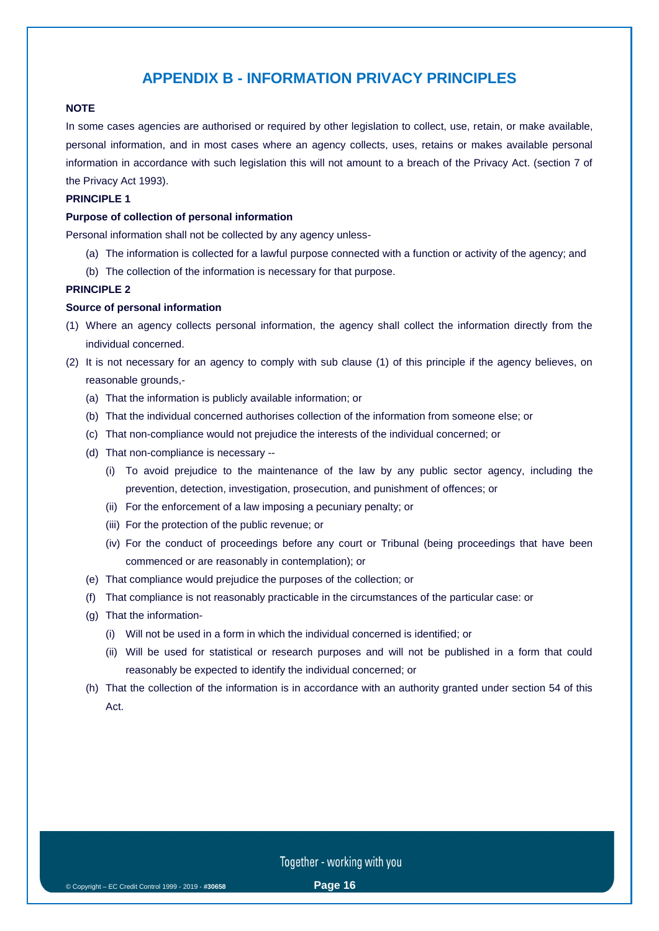#### **APPENDIX B - INFORMATION PRIVACY PRINCIPLES**

#### **NOTE**

In some cases agencies are authorised or required by other legislation to collect, use, retain, or make available, personal information, and in most cases where an agency collects, uses, retains or makes available personal information in accordance with such legislation this will not amount to a breach of the Privacy Act. (section 7 of the Privacy Act 1993).

#### **PRINCIPLE 1**

#### **Purpose of collection of personal information**

Personal information shall not be collected by any agency unless-

- (a) The information is collected for a lawful purpose connected with a function or activity of the agency; and
- (b) The collection of the information is necessary for that purpose.

#### **PRINCIPLE 2**

#### **Source of personal information**

- (1) Where an agency collects personal information, the agency shall collect the information directly from the individual concerned.
- (2) It is not necessary for an agency to comply with sub clause (1) of this principle if the agency believes, on reasonable grounds,-
	- (a) That the information is publicly available information; or
	- (b) That the individual concerned authorises collection of the information from someone else; or
	- (c) That non-compliance would not prejudice the interests of the individual concerned; or
	- (d) That non-compliance is necessary --
		- (i) To avoid prejudice to the maintenance of the law by any public sector agency, including the prevention, detection, investigation, prosecution, and punishment of offences; or
		- (ii) For the enforcement of a law imposing a pecuniary penalty; or
		- (iii) For the protection of the public revenue; or
		- (iv) For the conduct of proceedings before any court or Tribunal (being proceedings that have been commenced or are reasonably in contemplation); or
	- (e) That compliance would prejudice the purposes of the collection; or
	- (f) That compliance is not reasonably practicable in the circumstances of the particular case: or
	- (g) That the information-
		- (i) Will not be used in a form in which the individual concerned is identified; or
		- (ii) Will be used for statistical or research purposes and will not be published in a form that could reasonably be expected to identify the individual concerned; or
	- (h) That the collection of the information is in accordance with an authority granted under section 54 of this Act.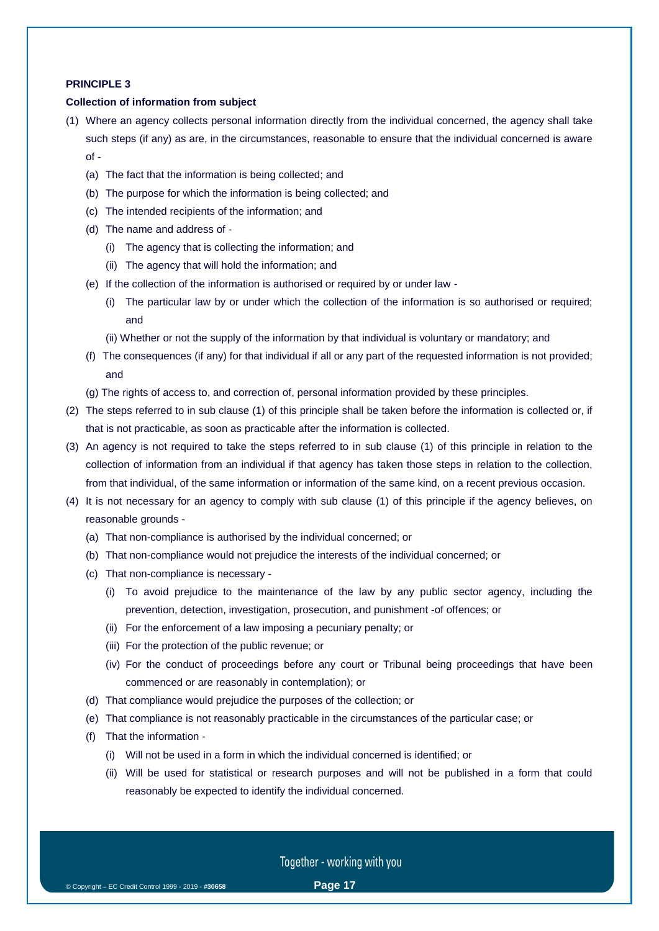#### **PRINCIPLE 3**

#### **Collection of information from subject**

- (1) Where an agency collects personal information directly from the individual concerned, the agency shall take such steps (if any) as are, in the circumstances, reasonable to ensure that the individual concerned is aware of -
	- (a) The fact that the information is being collected; and
	- (b) The purpose for which the information is being collected; and
	- (c) The intended recipients of the information; and
	- (d) The name and address of
		- (i) The agency that is collecting the information; and
		- (ii) The agency that will hold the information; and
	- (e) If the collection of the information is authorised or required by or under law
		- (i) The particular law by or under which the collection of the information is so authorised or required; and
		- (ii) Whether or not the supply of the information by that individual is voluntary or mandatory; and
	- (f) The consequences (if any) for that individual if all or any part of the requested information is not provided; and
	- (g) The rights of access to, and correction of, personal information provided by these principles.
- (2) The steps referred to in sub clause (1) of this principle shall be taken before the information is collected or, if that is not practicable, as soon as practicable after the information is collected.
- (3) An agency is not required to take the steps referred to in sub clause (1) of this principle in relation to the collection of information from an individual if that agency has taken those steps in relation to the collection, from that individual, of the same information or information of the same kind, on a recent previous occasion.
- (4) It is not necessary for an agency to comply with sub clause (1) of this principle if the agency believes, on reasonable grounds -
	- (a) That non-compliance is authorised by the individual concerned; or
	- (b) That non-compliance would not prejudice the interests of the individual concerned; or
	- (c) That non-compliance is necessary
		- (i) To avoid prejudice to the maintenance of the law by any public sector agency, including the prevention, detection, investigation, prosecution, and punishment -of offences; or
		- (ii) For the enforcement of a law imposing a pecuniary penalty; or
		- (iii) For the protection of the public revenue; or
		- (iv) For the conduct of proceedings before any court or Tribunal being proceedings that have been commenced or are reasonably in contemplation); or
	- (d) That compliance would prejudice the purposes of the collection; or
	- (e) That compliance is not reasonably practicable in the circumstances of the particular case; or
	- (f) That the information
		- (i) Will not be used in a form in which the individual concerned is identified; or
		- (ii) Will be used for statistical or research purposes and will not be published in a form that could reasonably be expected to identify the individual concerned.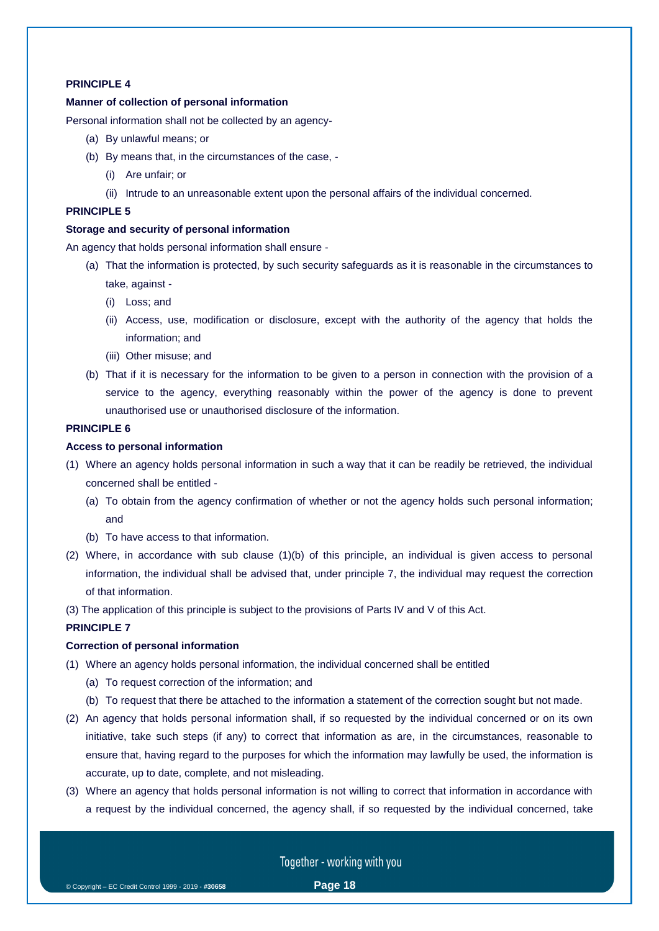#### **PRINCIPLE 4**

#### **Manner of collection of personal information**

Personal information shall not be collected by an agency-

- (a) By unlawful means; or
- (b) By means that, in the circumstances of the case,
	- (i) Are unfair; or
	- (ii) Intrude to an unreasonable extent upon the personal affairs of the individual concerned.

#### **PRINCIPLE 5**

#### **Storage and security of personal information**

An agency that holds personal information shall ensure -

- (a) That the information is protected, by such security safeguards as it is reasonable in the circumstances to take, against -
	- (i) Loss; and
	- (ii) Access, use, modification or disclosure, except with the authority of the agency that holds the information; and
	- (iii) Other misuse; and
- (b) That if it is necessary for the information to be given to a person in connection with the provision of a service to the agency, everything reasonably within the power of the agency is done to prevent unauthorised use or unauthorised disclosure of the information.

#### **PRINCIPLE 6**

#### **Access to personal information**

- (1) Where an agency holds personal information in such a way that it can be readily be retrieved, the individual concerned shall be entitled -
	- (a) To obtain from the agency confirmation of whether or not the agency holds such personal information; and
	- (b) To have access to that information.
- (2) Where, in accordance with sub clause (1)(b) of this principle, an individual is given access to personal information, the individual shall be advised that, under principle 7, the individual may request the correction of that information.
- (3) The application of this principle is subject to the provisions of Parts IV and V of this Act.

#### **PRINCIPLE 7**

#### **Correction of personal information**

- (1) Where an agency holds personal information, the individual concerned shall be entitled
	- (a) To request correction of the information; and
	- (b) To request that there be attached to the information a statement of the correction sought but not made.
- (2) An agency that holds personal information shall, if so requested by the individual concerned or on its own initiative, take such steps (if any) to correct that information as are, in the circumstances, reasonable to ensure that, having regard to the purposes for which the information may lawfully be used, the information is accurate, up to date, complete, and not misleading.
- (3) Where an agency that holds personal information is not willing to correct that information in accordance with a request by the individual concerned, the agency shall, if so requested by the individual concerned, take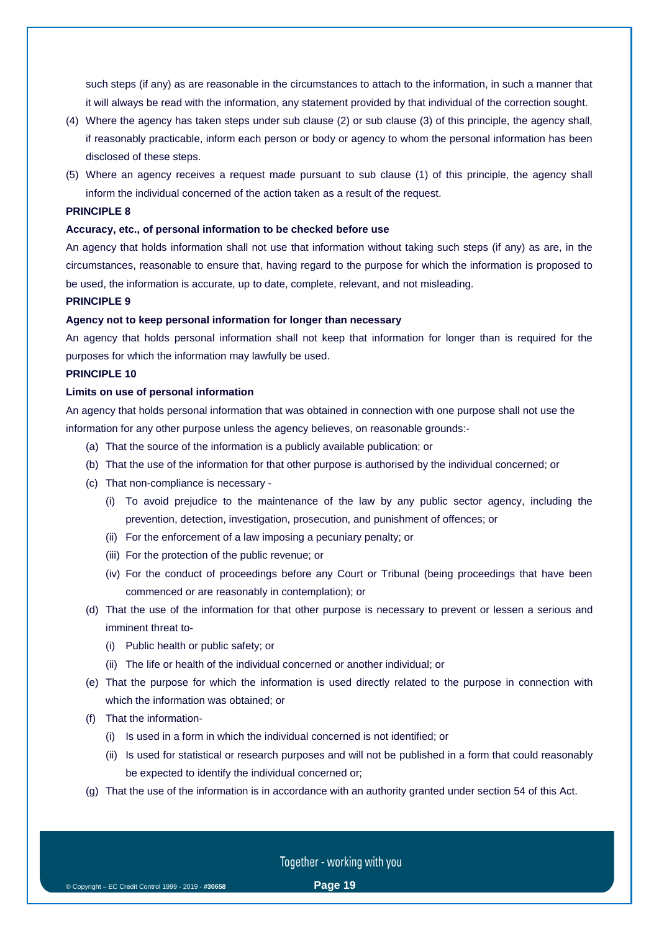such steps (if any) as are reasonable in the circumstances to attach to the information, in such a manner that it will always be read with the information, any statement provided by that individual of the correction sought.

- (4) Where the agency has taken steps under sub clause (2) or sub clause (3) of this principle, the agency shall, if reasonably practicable, inform each person or body or agency to whom the personal information has been disclosed of these steps.
- (5) Where an agency receives a request made pursuant to sub clause (1) of this principle, the agency shall inform the individual concerned of the action taken as a result of the request.

#### **PRINCIPLE 8**

#### **Accuracy, etc., of personal information to be checked before use**

An agency that holds information shall not use that information without taking such steps (if any) as are, in the circumstances, reasonable to ensure that, having regard to the purpose for which the information is proposed to be used, the information is accurate, up to date, complete, relevant, and not misleading.

#### **PRINCIPLE 9**

#### **Agency not to keep personal information for longer than necessary**

An agency that holds personal information shall not keep that information for longer than is required for the purposes for which the information may lawfully be used.

#### **PRINCIPLE 10**

#### **Limits on use of personal information**

An agency that holds personal information that was obtained in connection with one purpose shall not use the information for any other purpose unless the agency believes, on reasonable grounds:-

- (a) That the source of the information is a publicly available publication; or
- (b) That the use of the information for that other purpose is authorised by the individual concerned; or
- (c) That non-compliance is necessary
	- (i) To avoid prejudice to the maintenance of the law by any public sector agency, including the prevention, detection, investigation, prosecution, and punishment of offences; or
	- (ii) For the enforcement of a law imposing a pecuniary penalty; or
	- (iii) For the protection of the public revenue; or
	- (iv) For the conduct of proceedings before any Court or Tribunal (being proceedings that have been commenced or are reasonably in contemplation); or
- (d) That the use of the information for that other purpose is necessary to prevent or lessen a serious and imminent threat to-
	- (i) Public health or public safety; or
	- (ii) The life or health of the individual concerned or another individual; or
- (e) That the purpose for which the information is used directly related to the purpose in connection with which the information was obtained; or
- (f) That the information-
	- (i) Is used in a form in which the individual concerned is not identified; or
	- (ii) Is used for statistical or research purposes and will not be published in a form that could reasonably be expected to identify the individual concerned or;
- (g) That the use of the information is in accordance with an authority granted under section 54 of this Act.